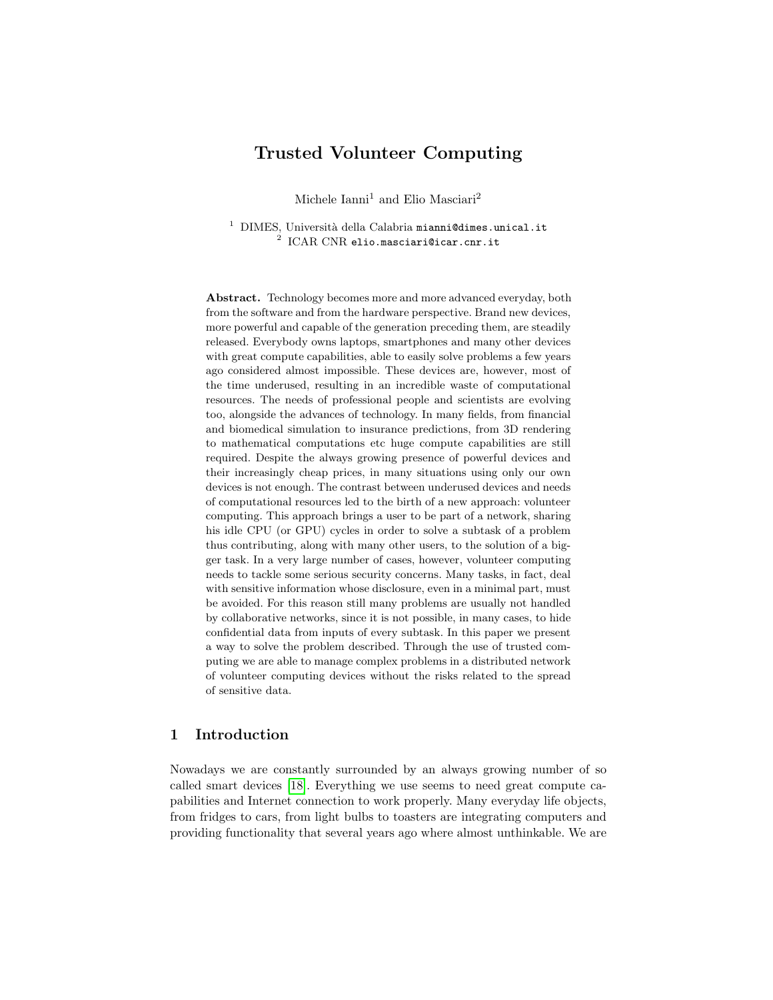# Trusted Volunteer Computing

Michele  $Ianni<sup>1</sup>$  and Elio Masciari<sup>2</sup>

 $1$  DIMES, Università della Calabria mianni@dimes.unical.it  $^2$  ICAR CNR elio.masciari@icar.cnr.it

Abstract. Technology becomes more and more advanced everyday, both from the software and from the hardware perspective. Brand new devices, more powerful and capable of the generation preceding them, are steadily released. Everybody owns laptops, smartphones and many other devices with great compute capabilities, able to easily solve problems a few years ago considered almost impossible. These devices are, however, most of the time underused, resulting in an incredible waste of computational resources. The needs of professional people and scientists are evolving too, alongside the advances of technology. In many fields, from financial and biomedical simulation to insurance predictions, from 3D rendering to mathematical computations etc huge compute capabilities are still required. Despite the always growing presence of powerful devices and their increasingly cheap prices, in many situations using only our own devices is not enough. The contrast between underused devices and needs of computational resources led to the birth of a new approach: volunteer computing. This approach brings a user to be part of a network, sharing his idle CPU (or GPU) cycles in order to solve a subtask of a problem thus contributing, along with many other users, to the solution of a bigger task. In a very large number of cases, however, volunteer computing needs to tackle some serious security concerns. Many tasks, in fact, deal with sensitive information whose disclosure, even in a minimal part, must be avoided. For this reason still many problems are usually not handled by collaborative networks, since it is not possible, in many cases, to hide confidential data from inputs of every subtask. In this paper we present a way to solve the problem described. Through the use of trusted computing we are able to manage complex problems in a distributed network of volunteer computing devices without the risks related to the spread of sensitive data.

#### 1 Introduction

Nowadays we are constantly surrounded by an always growing number of so called smart devices [\[18\]](#page-7-0). Everything we use seems to need great compute capabilities and Internet connection to work properly. Many everyday life objects, from fridges to cars, from light bulbs to toasters are integrating computers and providing functionality that several years ago where almost unthinkable. We are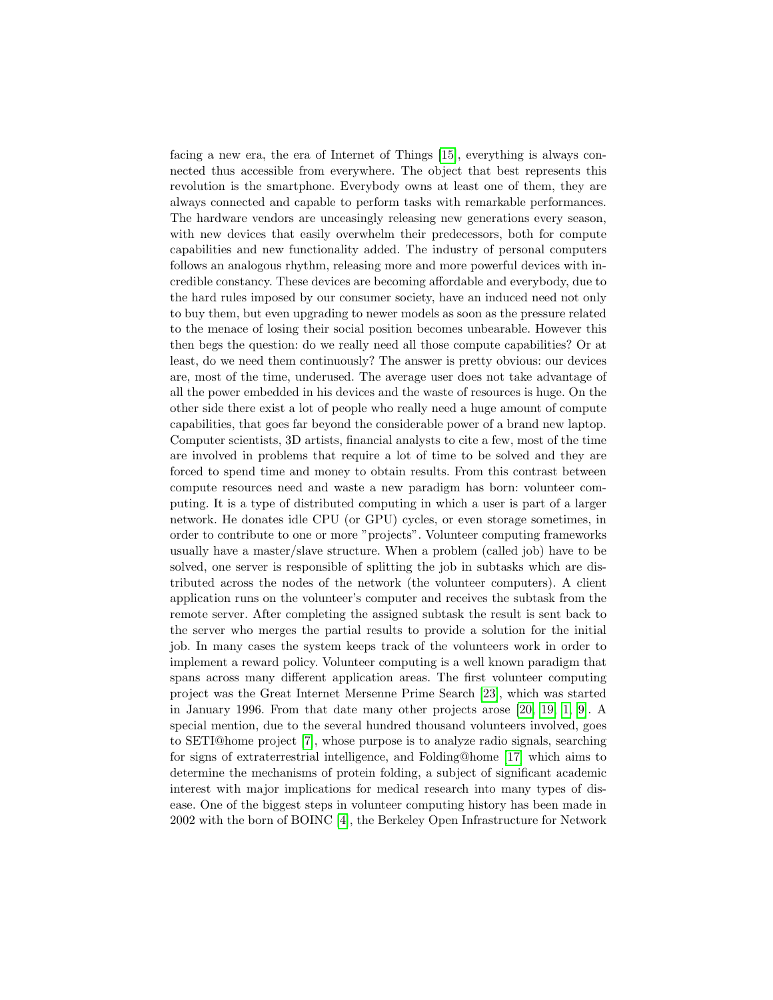facing a new era, the era of Internet of Things [\[15\]](#page-7-1), everything is always connected thus accessible from everywhere. The object that best represents this revolution is the smartphone. Everybody owns at least one of them, they are always connected and capable to perform tasks with remarkable performances. The hardware vendors are unceasingly releasing new generations every season, with new devices that easily overwhelm their predecessors, both for compute capabilities and new functionality added. The industry of personal computers follows an analogous rhythm, releasing more and more powerful devices with incredible constancy. These devices are becoming affordable and everybody, due to the hard rules imposed by our consumer society, have an induced need not only to buy them, but even upgrading to newer models as soon as the pressure related to the menace of losing their social position becomes unbearable. However this then begs the question: do we really need all those compute capabilities? Or at least, do we need them continuously? The answer is pretty obvious: our devices are, most of the time, underused. The average user does not take advantage of all the power embedded in his devices and the waste of resources is huge. On the other side there exist a lot of people who really need a huge amount of compute capabilities, that goes far beyond the considerable power of a brand new laptop. Computer scientists, 3D artists, financial analysts to cite a few, most of the time are involved in problems that require a lot of time to be solved and they are forced to spend time and money to obtain results. From this contrast between compute resources need and waste a new paradigm has born: volunteer computing. It is a type of distributed computing in which a user is part of a larger network. He donates idle CPU (or GPU) cycles, or even storage sometimes, in order to contribute to one or more "projects". Volunteer computing frameworks usually have a master/slave structure. When a problem (called job) have to be solved, one server is responsible of splitting the job in subtasks which are distributed across the nodes of the network (the volunteer computers). A client application runs on the volunteer's computer and receives the subtask from the remote server. After completing the assigned subtask the result is sent back to the server who merges the partial results to provide a solution for the initial job. In many cases the system keeps track of the volunteers work in order to implement a reward policy. Volunteer computing is a well known paradigm that spans across many different application areas. The first volunteer computing project was the Great Internet Mersenne Prime Search [\[23\]](#page-7-2), which was started in January 1996. From that date many other projects arose [\[20,](#page-7-3) [19,](#page-7-4) [1,](#page-6-0) [9\]](#page-6-1). A special mention, due to the several hundred thousand volunteers involved, goes to SETI@home project [\[7\]](#page-6-2), whose purpose is to analyze radio signals, searching for signs of extraterrestrial intelligence, and Folding@home [\[17\]](#page-7-5) which aims to determine the mechanisms of protein folding, a subject of significant academic interest with major implications for medical research into many types of disease. One of the biggest steps in volunteer computing history has been made in 2002 with the born of BOINC [\[4\]](#page-6-3), the Berkeley Open Infrastructure for Network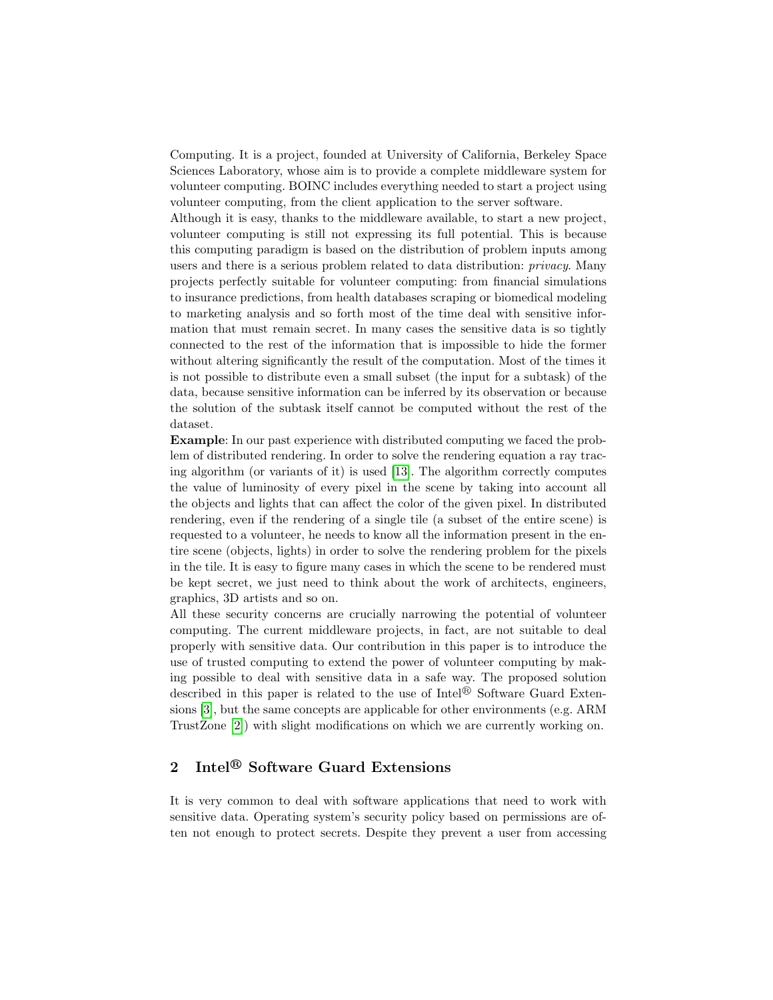Computing. It is a project, founded at University of California, Berkeley Space Sciences Laboratory, whose aim is to provide a complete middleware system for volunteer computing. BOINC includes everything needed to start a project using volunteer computing, from the client application to the server software.

Although it is easy, thanks to the middleware available, to start a new project, volunteer computing is still not expressing its full potential. This is because this computing paradigm is based on the distribution of problem inputs among users and there is a serious problem related to data distribution: privacy. Many projects perfectly suitable for volunteer computing: from financial simulations to insurance predictions, from health databases scraping or biomedical modeling to marketing analysis and so forth most of the time deal with sensitive information that must remain secret. In many cases the sensitive data is so tightly connected to the rest of the information that is impossible to hide the former without altering significantly the result of the computation. Most of the times it is not possible to distribute even a small subset (the input for a subtask) of the data, because sensitive information can be inferred by its observation or because the solution of the subtask itself cannot be computed without the rest of the dataset.

Example: In our past experience with distributed computing we faced the problem of distributed rendering. In order to solve the rendering equation a ray tracing algorithm (or variants of it) is used [\[13\]](#page-7-6). The algorithm correctly computes the value of luminosity of every pixel in the scene by taking into account all the objects and lights that can affect the color of the given pixel. In distributed rendering, even if the rendering of a single tile (a subset of the entire scene) is requested to a volunteer, he needs to know all the information present in the entire scene (objects, lights) in order to solve the rendering problem for the pixels in the tile. It is easy to figure many cases in which the scene to be rendered must be kept secret, we just need to think about the work of architects, engineers, graphics, 3D artists and so on.

All these security concerns are crucially narrowing the potential of volunteer computing. The current middleware projects, in fact, are not suitable to deal properly with sensitive data. Our contribution in this paper is to introduce the use of trusted computing to extend the power of volunteer computing by making possible to deal with sensitive data in a safe way. The proposed solution described in this paper is related to the use of  $Intel^{\circledR}$  Software Guard Extensions [\[3\]](#page-6-4), but the same concepts are applicable for other environments (e.g. ARM TrustZone [\[2\]](#page-6-5)) with slight modifications on which we are currently working on.

# 2 Intel<sup>®</sup> Software Guard Extensions

It is very common to deal with software applications that need to work with sensitive data. Operating system's security policy based on permissions are often not enough to protect secrets. Despite they prevent a user from accessing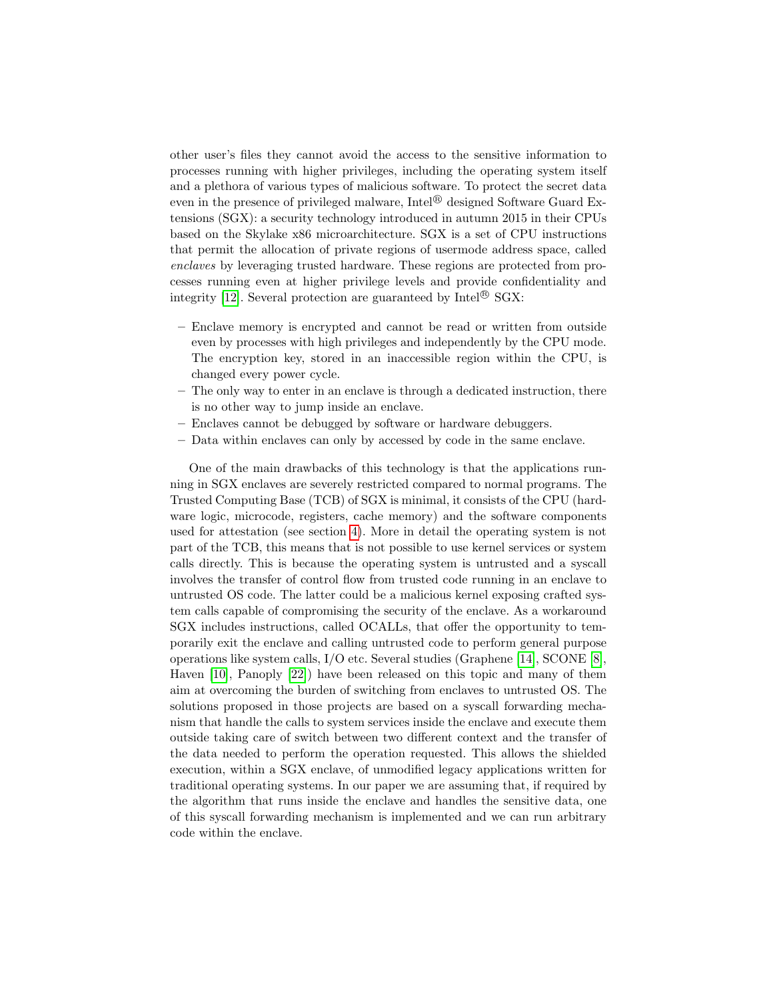other user's files they cannot avoid the access to the sensitive information to processes running with higher privileges, including the operating system itself and a plethora of various types of malicious software. To protect the secret data even in the presence of privileged malware,  $\text{Intel}^{\circledR}$  designed Software Guard Extensions (SGX): a security technology introduced in autumn 2015 in their CPUs based on the Skylake x86 microarchitecture. SGX is a set of CPU instructions that permit the allocation of private regions of usermode address space, called enclaves by leveraging trusted hardware. These regions are protected from processes running even at higher privilege levels and provide confidentiality and integrity [\[12\]](#page-7-7). Several protection are guaranteed by Intel<sup>®</sup> SGX:

- Enclave memory is encrypted and cannot be read or written from outside even by processes with high privileges and independently by the CPU mode. The encryption key, stored in an inaccessible region within the CPU, is changed every power cycle.
- The only way to enter in an enclave is through a dedicated instruction, there is no other way to jump inside an enclave.
- Enclaves cannot be debugged by software or hardware debuggers.
- Data within enclaves can only by accessed by code in the same enclave.

One of the main drawbacks of this technology is that the applications running in SGX enclaves are severely restricted compared to normal programs. The Trusted Computing Base (TCB) of SGX is minimal, it consists of the CPU (hardware logic, microcode, registers, cache memory) and the software components used for attestation (see section [4\)](#page-4-0). More in detail the operating system is not part of the TCB, this means that is not possible to use kernel services or system calls directly. This is because the operating system is untrusted and a syscall involves the transfer of control flow from trusted code running in an enclave to untrusted OS code. The latter could be a malicious kernel exposing crafted system calls capable of compromising the security of the enclave. As a workaround SGX includes instructions, called OCALLs, that offer the opportunity to temporarily exit the enclave and calling untrusted code to perform general purpose operations like system calls, I/O etc. Several studies (Graphene [\[14\]](#page-7-8), SCONE [\[8\]](#page-6-6), Haven [\[10\]](#page-7-9), Panoply [\[22\]](#page-7-10)) have been released on this topic and many of them aim at overcoming the burden of switching from enclaves to untrusted OS. The solutions proposed in those projects are based on a syscall forwarding mechanism that handle the calls to system services inside the enclave and execute them outside taking care of switch between two different context and the transfer of the data needed to perform the operation requested. This allows the shielded execution, within a SGX enclave, of unmodified legacy applications written for traditional operating systems. In our paper we are assuming that, if required by the algorithm that runs inside the enclave and handles the sensitive data, one of this syscall forwarding mechanism is implemented and we can run arbitrary code within the enclave.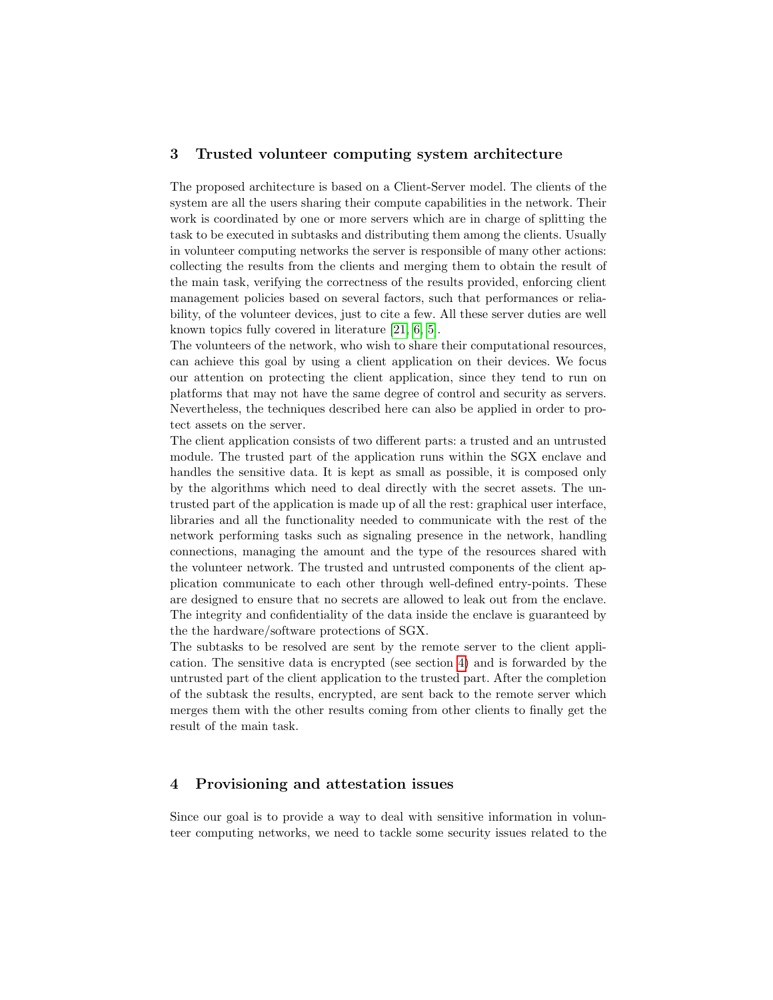#### <span id="page-4-1"></span>3 Trusted volunteer computing system architecture

The proposed architecture is based on a Client-Server model. The clients of the system are all the users sharing their compute capabilities in the network. Their work is coordinated by one or more servers which are in charge of splitting the task to be executed in subtasks and distributing them among the clients. Usually in volunteer computing networks the server is responsible of many other actions: collecting the results from the clients and merging them to obtain the result of the main task, verifying the correctness of the results provided, enforcing client management policies based on several factors, such that performances or reliability, of the volunteer devices, just to cite a few. All these server duties are well known topics fully covered in literature [\[21,](#page-7-11) [6,](#page-6-7) [5\]](#page-6-8).

The volunteers of the network, who wish to share their computational resources, can achieve this goal by using a client application on their devices. We focus our attention on protecting the client application, since they tend to run on platforms that may not have the same degree of control and security as servers. Nevertheless, the techniques described here can also be applied in order to protect assets on the server.

The client application consists of two different parts: a trusted and an untrusted module. The trusted part of the application runs within the SGX enclave and handles the sensitive data. It is kept as small as possible, it is composed only by the algorithms which need to deal directly with the secret assets. The untrusted part of the application is made up of all the rest: graphical user interface, libraries and all the functionality needed to communicate with the rest of the network performing tasks such as signaling presence in the network, handling connections, managing the amount and the type of the resources shared with the volunteer network. The trusted and untrusted components of the client application communicate to each other through well-defined entry-points. These are designed to ensure that no secrets are allowed to leak out from the enclave. The integrity and confidentiality of the data inside the enclave is guaranteed by the the hardware/software protections of SGX.

The subtasks to be resolved are sent by the remote server to the client application. The sensitive data is encrypted (see section [4\)](#page-4-0) and is forwarded by the untrusted part of the client application to the trusted part. After the completion of the subtask the results, encrypted, are sent back to the remote server which merges them with the other results coming from other clients to finally get the result of the main task.

### <span id="page-4-0"></span>4 Provisioning and attestation issues

Since our goal is to provide a way to deal with sensitive information in volunteer computing networks, we need to tackle some security issues related to the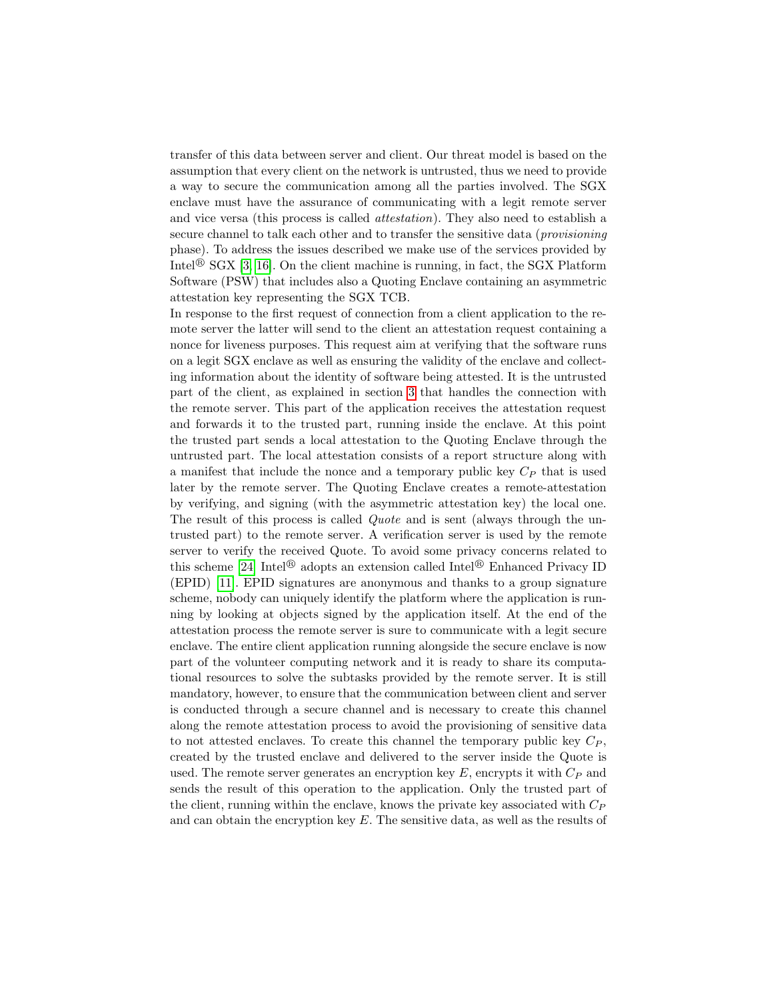transfer of this data between server and client. Our threat model is based on the assumption that every client on the network is untrusted, thus we need to provide a way to secure the communication among all the parties involved. The SGX enclave must have the assurance of communicating with a legit remote server and vice versa (this process is called *attestation*). They also need to establish a secure channel to talk each other and to transfer the sensitive data (*provisioning* phase). To address the issues described we make use of the services provided by Intel<sup>®</sup> SGX [\[3,](#page-6-4) [16\]](#page-7-12). On the client machine is running, in fact, the SGX Platform Software (PSW) that includes also a Quoting Enclave containing an asymmetric attestation key representing the SGX TCB.

In response to the first request of connection from a client application to the remote server the latter will send to the client an attestation request containing a nonce for liveness purposes. This request aim at verifying that the software runs on a legit SGX enclave as well as ensuring the validity of the enclave and collecting information about the identity of software being attested. It is the untrusted part of the client, as explained in section [3](#page-4-1) that handles the connection with the remote server. This part of the application receives the attestation request and forwards it to the trusted part, running inside the enclave. At this point the trusted part sends a local attestation to the Quoting Enclave through the untrusted part. The local attestation consists of a report structure along with a manifest that include the nonce and a temporary public key  $C_P$  that is used later by the remote server. The Quoting Enclave creates a remote-attestation by verifying, and signing (with the asymmetric attestation key) the local one. The result of this process is called Quote and is sent (always through the untrusted part) to the remote server. A verification server is used by the remote server to verify the received Quote. To avoid some privacy concerns related to this scheme [\[24\]](#page-7-13) Intel<sup>®</sup> adopts an extension called Intel<sup>®</sup> Enhanced Privacy ID (EPID) [\[11\]](#page-7-14). EPID signatures are anonymous and thanks to a group signature scheme, nobody can uniquely identify the platform where the application is running by looking at objects signed by the application itself. At the end of the attestation process the remote server is sure to communicate with a legit secure enclave. The entire client application running alongside the secure enclave is now part of the volunteer computing network and it is ready to share its computational resources to solve the subtasks provided by the remote server. It is still mandatory, however, to ensure that the communication between client and server is conducted through a secure channel and is necessary to create this channel along the remote attestation process to avoid the provisioning of sensitive data to not attested enclaves. To create this channel the temporary public key  $C_P$ , created by the trusted enclave and delivered to the server inside the Quote is used. The remote server generates an encryption key  $E$ , encrypts it with  $C_P$  and sends the result of this operation to the application. Only the trusted part of the client, running within the enclave, knows the private key associated with  $C_P$ and can obtain the encryption key  $E$ . The sensitive data, as well as the results of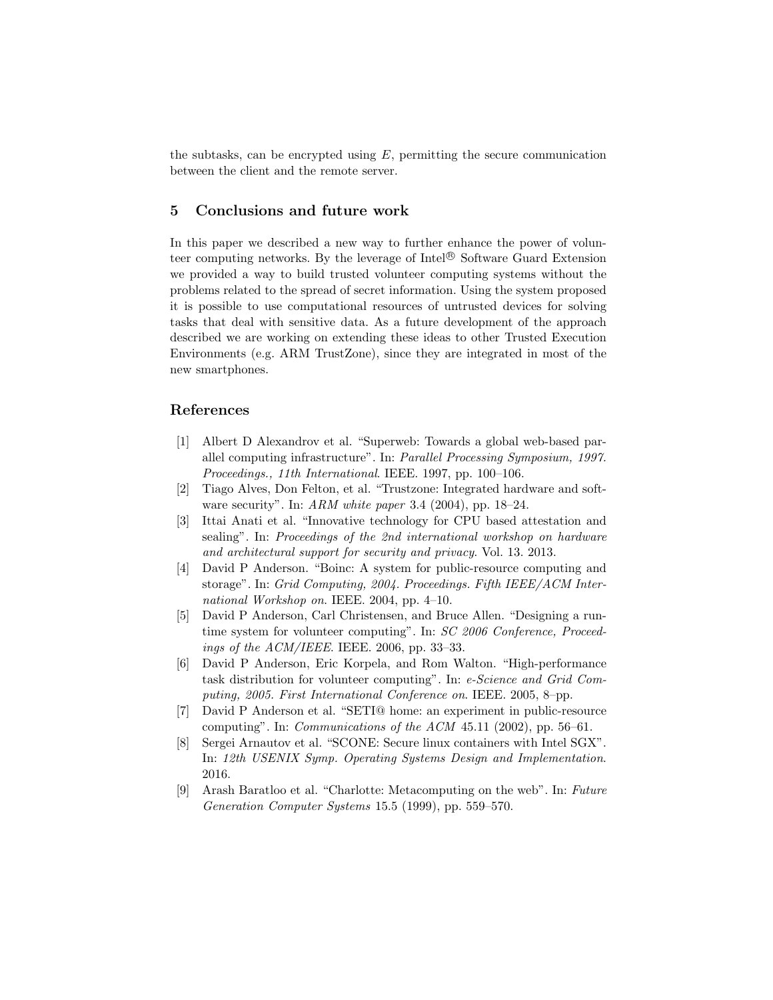the subtasks, can be encrypted using  $E$ , permitting the secure communication between the client and the remote server.

## 5 Conclusions and future work

In this paper we described a new way to further enhance the power of volunteer computing networks. By the leverage of  $\text{Intel}^{\circledR}$  Software Guard Extension we provided a way to build trusted volunteer computing systems without the problems related to the spread of secret information. Using the system proposed it is possible to use computational resources of untrusted devices for solving tasks that deal with sensitive data. As a future development of the approach described we are working on extending these ideas to other Trusted Execution Environments (e.g. ARM TrustZone), since they are integrated in most of the new smartphones.

#### References

- <span id="page-6-0"></span>[1] Albert D Alexandrov et al. "Superweb: Towards a global web-based parallel computing infrastructure". In: Parallel Processing Symposium, 1997. Proceedings., 11th International. IEEE. 1997, pp. 100–106.
- <span id="page-6-5"></span>[2] Tiago Alves, Don Felton, et al. "Trustzone: Integrated hardware and software security". In: ARM white paper 3.4 (2004), pp. 18–24.
- <span id="page-6-4"></span>[3] Ittai Anati et al. "Innovative technology for CPU based attestation and sealing". In: Proceedings of the 2nd international workshop on hardware and architectural support for security and privacy. Vol. 13. 2013.
- <span id="page-6-3"></span>[4] David P Anderson. "Boinc: A system for public-resource computing and storage". In: Grid Computing, 2004. Proceedings. Fifth IEEE/ACM International Workshop on. IEEE. 2004, pp. 4–10.
- <span id="page-6-8"></span>[5] David P Anderson, Carl Christensen, and Bruce Allen. "Designing a runtime system for volunteer computing". In: SC 2006 Conference, Proceedings of the ACM/IEEE. IEEE. 2006, pp. 33–33.
- <span id="page-6-7"></span>[6] David P Anderson, Eric Korpela, and Rom Walton. "High-performance task distribution for volunteer computing". In: e-Science and Grid Computing, 2005. First International Conference on. IEEE. 2005, 8–pp.
- <span id="page-6-2"></span>[7] David P Anderson et al. "SETI@ home: an experiment in public-resource computing". In: Communications of the ACM 45.11 (2002), pp. 56–61.
- <span id="page-6-6"></span>[8] Sergei Arnautov et al. "SCONE: Secure linux containers with Intel SGX". In: 12th USENIX Symp. Operating Systems Design and Implementation. 2016.
- <span id="page-6-1"></span>[9] Arash Baratloo et al. "Charlotte: Metacomputing on the web". In: Future Generation Computer Systems 15.5 (1999), pp. 559–570.